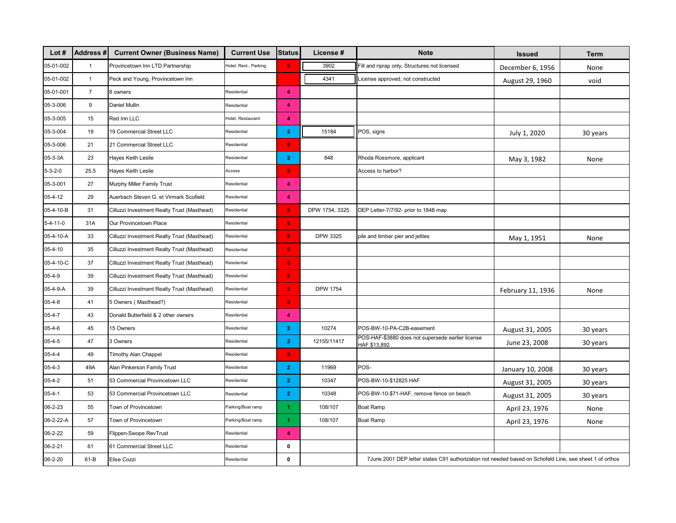| Lot $#$          | <b>Address#</b> | <b>Current Owner (Business Name)</b>        | <b>Current Use</b>    | <b>Status</b>           | License#        | <b>Note</b>                                                                                             | <b>Issued</b>     | Term     |
|------------------|-----------------|---------------------------------------------|-----------------------|-------------------------|-----------------|---------------------------------------------------------------------------------------------------------|-------------------|----------|
| 05-01-002        | $\overline{1}$  | Provincetown Inn LTD Partnership            | Hotel, Rest., Parking | 5 <sub>1</sub>          | 3902            | Fill and riprap only, Structures not licensed                                                           | December 6, 1956  | None     |
| 05-01-002        | $\mathbf{1}$    | Peck and Young, Provincetown Inn            |                       |                         | 4341            | License approved, not constructed                                                                       | August 29, 1960   | void     |
| 05-01-001        | $\overline{7}$  | 8 owners                                    | Residential           | $\overline{\mathbf{4}}$ |                 |                                                                                                         |                   |          |
| 05-3-006         | 9               | Daniel Mullin                               | <b>Residential</b>    | 4                       |                 |                                                                                                         |                   |          |
| 05-3-005         | 15              | Red Inn LLC                                 | lotel, Restaurant     | $\overline{4}$          |                 |                                                                                                         |                   |          |
| 05-3-004         | 19              | 19 Commercial Street LLC                    | Residential           | $\mathbf{2}$            | 15184           | POS, signs                                                                                              | July 1, 2020      | 30 years |
| 05-3-006         | 21              | 21 Commercial Street LLC                    | Residential           | 5 <sub>1</sub>          |                 |                                                                                                         |                   |          |
| 05-3-3A          | 23              | Hayes Keith Leslie                          | Residential           | $\overline{2}$          | 848             | Rhoda Rossmore, applicant                                                                               | May 3, 1982       | None     |
| $5 - 3 - 2 - 0$  | 25.5            | Hayes Keith Leslie                          | Access                | $\overline{\mathbf{5}}$ |                 | Access to harbor?                                                                                       |                   |          |
| 05-3-001         | 27              | Murphy Miller Family Trust                  | Residential           | $\blacktriangleleft$    |                 |                                                                                                         |                   |          |
| 05-4-12          | 29              | Auerbach Steven G. et Virmark Scofield      | Residential           | 4                       |                 |                                                                                                         |                   |          |
| 05-4-10-B        | 31              | Cilluzzi Investment Realty Trust (Masthead) | Residential           | $\overline{\mathbf{5}}$ | DPW 1754, 3325  | DEP Letter-7/7/92- prior to 1848 map                                                                    |                   |          |
| $5 - 4 - 11 - 0$ | 31A             | Our Provincetown Place                      | Residential           | 5 <sub>1</sub>          |                 |                                                                                                         |                   |          |
| 05-4-10-A        | 33              | Cilluzzi Investment Realty Trust (Masthead) | Residential           | 5 <sub>1</sub>          | DPW 3325        | pile and timber pier and jetties                                                                        | May 1, 1951       | None     |
| 05-4-10          | 35              | Cilluzzi Investment Realty Trust (Masthead) | Residential           | $\overline{\mathbf{5}}$ |                 |                                                                                                         |                   |          |
| 05-4-10-C        | 37              | Cilluzzi Investment Realty Trust (Masthead) | Residential           | $\overline{\mathbf{5}}$ |                 |                                                                                                         |                   |          |
| 05-4-9           | 39              | Cilluzzi Investment Realty Trust (Masthead) | Residential           | 5 <sub>1</sub>          |                 |                                                                                                         |                   |          |
| 05-4-9-A         | 39              | Cilluzzi Investment Realty Trust (Masthead) | Residential           | $\overline{\mathbf{5}}$ | <b>DPW 1754</b> |                                                                                                         | February 11, 1936 | None     |
| $05 - 4 - 8$     | 41              | 5 Owners (Masthead?)                        | Residential           | $\overline{\mathbf{5}}$ |                 |                                                                                                         |                   |          |
| $05 - 4 - 7$     | 43              | Donald Butterfield & 2 other owners         | Residential           | 4                       |                 |                                                                                                         |                   |          |
| $05 - 4 - 6$     | 45              | 15 Owners                                   | Residential           | $\mathbf{2}$            | 10274           | POS-BW-10-PA-C2B-easement                                                                               | August 31, 2005   | 30 years |
| $05 - 4 - 5$     | 47              | 3 Owners                                    | Residential           | $\overline{2}$          | 12155/11417     | POS-HAF-\$3880 does not supersede earlier license<br>HAF \$13,892                                       | June 23, 2008     | 30 years |
| $05 - 4 - 4$     | 49              | Timothy Alan Chappel                        | Residential           | 5 <sub>1</sub>          |                 |                                                                                                         |                   |          |
| $05 - 4 - 3$     | 49A             | Alan Pinkerson Family Trust                 | Residential           | $\mathbf{2}$            | 11969           | POS-                                                                                                    | January 10, 2008  | 30 years |
| $05 - 4 - 2$     | 51              | 53 Commercial Provincetown LLC              | Residential           | $\mathbf{2}$            | 10347           | POS-BW-10-\$12825 HAF                                                                                   | August 31, 2005   | 30 years |
| $05 - 4 - 1$     | 53              | 53 Commercial Provincetown LLC              | Residential           | $\overline{2}$          | 10348           | POS-BW-10-\$71-HAF, remove fence on beach                                                               | August 31, 2005   | 30 years |
| 06-2-23          | 55              | Town of Provincetown                        | Parking/Boat ramp     | 1                       | 108/107         | Boat Ramp                                                                                               | April 23, 1976    | None     |
| 06-2-22-A        | 57              | Town of Provincetown                        | Parking/Boat ramp     | $\blacktriangleleft$    | 108/107         | <b>Boat Ramp</b>                                                                                        | April 23, 1976    | None     |
| 06-2-22          | 59              | Flippen-Swope RevTrust                      | Residential           | 4                       |                 |                                                                                                         |                   |          |
| $06 - 2 - 21$    | 61              | 61 Commercial Street LLC                    | Residential           | $\mathbf 0$             |                 |                                                                                                         |                   |          |
| 06-2-20          | $61 - B$        | Elise Cozzi                                 | Residential           | $\mathbf 0$             |                 | 7June 2001 DEP letter states C91 authorization not needed based on Schofeld Line, see sheet 1 of orthos |                   |          |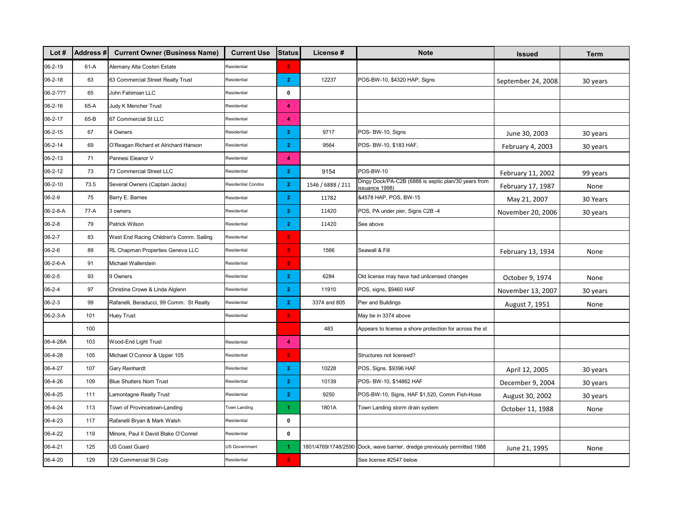| Lot #         | <b>Address#</b> | <b>Current Owner (Business Name)</b>     | <b>Current Use</b> | <b>Status</b>           | License #         | <b>Note</b>                                                              | <b>Issued</b>      | Term     |
|---------------|-----------------|------------------------------------------|--------------------|-------------------------|-------------------|--------------------------------------------------------------------------|--------------------|----------|
| 06-2-19       | $61-A$          | Alemany Alta Costen Estate               | Residential        | $\overline{\mathbf{5}}$ |                   |                                                                          |                    |          |
| $06 - 2 - 18$ | 63              | 63 Commercial Street Realty Trust        | Residential        | $\overline{2}$          | 12237             | POS-BW-10, \$4320 HAP, Signs                                             | September 24, 2008 | 30 years |
| 06-2-???      | 65              | John Fahimian LLC                        | Residential        | $\pmb{0}$               |                   |                                                                          |                    |          |
| $06 - 2 - 16$ | 65-A            | Judy K Mencher Trust                     | Residential        | 4                       |                   |                                                                          |                    |          |
| $06 - 2 - 17$ | 65-B            | 67 Commercial St LLC                     | Residential        | 4                       |                   |                                                                          |                    |          |
| $06 - 2 - 15$ | 67              | 4 Owners                                 | Residential        | $\overline{2}$          | 9717              | POS- BW-10, Signs                                                        | June 30, 2003      | 30 years |
| 06-2-14       | 69              | O'Reagan Richard et Alrichard Hanson     | Residential        | $\mathbf{2}$            | 9564              | POS- BW-10, \$183 HAF,                                                   | February 4, 2003   | 30 years |
| 06-2-13       | 71              | Pannesi Eleanor V                        | Residential        | 4                       |                   |                                                                          |                    |          |
| $06 - 2 - 12$ | 73              | 73 Commercial Street LLC                 | Residential        | $\mathbf{2}$            | 9154              | POS-BW-10                                                                | February 11, 2002  | 99 years |
| 06-2-10       | 73.5            | Several Owners (Captain Jacks)           | Residential Condos | $\overline{2}$          | 1546 / 6888 / 211 | Dingy Dock/PA-C2B (6888 is septic plan/30 years from<br>issuance 1998)   | February 17, 1987  | None     |
| $06 - 2 - 9$  | 75              | Barry E. Barnes                          | Residential        | $\mathbf{2}$            | 11782             | &4578 HAP, POS, BW-15                                                    | May 21, 2007       | 30 Years |
| 06-2-8-A      | $77-A$          | 3 owners                                 | Residential        | $\overline{2}$          | 11420             | POS, PA under pier, Signs C2B -4                                         | November 20, 2006  | 30 years |
| $06 - 2 - 8$  | 79              | Patrick Wilson                           | Residential        | $\mathbf{2}$            | 11420             | See above                                                                |                    |          |
| $06 - 2 - 7$  | 83              | West End Racing Children's Comm. Sailing | Residential        | $\overline{\mathbf{5}}$ |                   |                                                                          |                    |          |
| $06 - 2 - 6$  | 89              | RL Chapman Properties Geneva LLC         | Residential        | $\overline{\mathbf{5}}$ | 1566              | Seawall & Fill                                                           | February 13, 1934  | None     |
| 06-2-6-A      | 91              | Michael Wallerstein                      | Residential        | $\overline{\mathbf{5}}$ |                   |                                                                          |                    |          |
| $06 - 2 - 5$  | 93              | 9 Owners                                 | Residential        | $\mathbf{2}$            | 6284              | Old license may have had unlicensed changes                              | October 9, 1974    | None     |
| $06 - 2 - 4$  | 97              | Christina Crowe & Linda Alglenn          | Residential        | $\overline{2}$          | 11910             | POS, signs, \$9460 HAF                                                   | November 13, 2007  | 30 years |
| $06 - 2 - 3$  | 99              | Rafanelli, Beraducci, 99 Comm. St Realty | Residential        | $\mathbf{2}$            | 3374 and 805      | Pier and Buildings                                                       | August 7, 1951     | None     |
| 06-2-3-A      | 101             | <b>Huey Trust</b>                        | Residential        | $\overline{\mathbf{5}}$ |                   | May be in 3374 above                                                     |                    |          |
|               | 100             |                                          |                    |                         | 483               | Appears to license a shore protection for across the st                  |                    |          |
| 06-4-28A      | 103             | Wood-End Light Trust                     | Residential        | 4                       |                   |                                                                          |                    |          |
| 06-4-28       | 105             | Michael O'Connor & Upper 105             | Residential        | $\overline{\mathbf{5}}$ |                   | Structures not licensed?                                                 |                    |          |
| 06-4-27       | 107             | Gary Reinhardt                           | Residential        | $\overline{2}$          | 10228             | POS, Signs. \$9396 HAF                                                   | April 12, 2005     | 30 years |
| 06-4-26       | 109             | <b>Blue Shutters Nom Trust</b>           | Residential        | $\overline{2}$          | 10139             | POS- BW-10, \$14862 HAF                                                  | December 9, 2004   | 30 years |
| 06-4-25       | 111             | amontagne Realty Trust                   | Residential        | $\mathbf{2}$            | 9250              | POS-BW-10, Signs, HAF \$1,520, Comm Fish-Hose                            | August 30, 2002    | 30 years |
| 06-4-24       | 113             | Town of Provincetown-Landing             | Town Landing       | 1                       | 1801A             | Town Landing storm drain system                                          | October 11, 1988   | None     |
| 06-4-23       | 117             | Rafanelli Bryan & Mark Walsh             | Residential        | 0                       |                   |                                                                          |                    |          |
| 06-4-22       | 119             | Minore, Paul II David Blake O'Connel     | Residential        | 0                       |                   |                                                                          |                    |          |
| 06-4-21       | 125             | <b>US Coast Guard</b>                    | JS Government      | $\blacktriangleleft$    |                   | 1801/4769/1748/2590 Dock, wave barrier, dredge previously permitted 1988 | June 21, 1995      | None     |
| 06-4-20       | 129             | 129 Commercial St Corp                   | Residential        | 5 <sub>1</sub>          |                   | See license #2547 below                                                  |                    |          |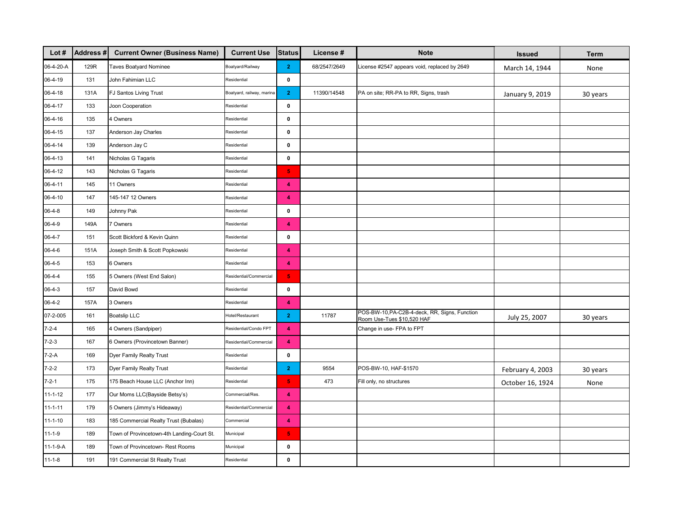| Lot $#$          | Address # | <b>Current Owner (Business Name)</b>       | <b>Current Use</b>        | <b>Status</b>           | License#     | <b>Note</b>                                                                 | <b>Issued</b>    | <b>Term</b> |
|------------------|-----------|--------------------------------------------|---------------------------|-------------------------|--------------|-----------------------------------------------------------------------------|------------------|-------------|
| 06-4-20-A        | 129R      | Taves Boatyard Nominee                     | Boatyard/Railway          | $\overline{2}$          | 68/2547/2649 | License #2547 appears void, replaced by 2649                                | March 14, 1944   | None        |
| 06-4-19          | 131       | John Fahimian LLC                          | Residential               | 0                       |              |                                                                             |                  |             |
| 06-4-18          | 131A      | FJ Santos Living Trust                     | Boatyard, railway, marina | $\overline{2}$          | 11390/14548  | PA on site; RR-PA to RR, Signs, trash                                       | January 9, 2019  | 30 years    |
| 06-4-17          | 133       | Joon Cooperation                           | Residential               | 0                       |              |                                                                             |                  |             |
| 06-4-16          | 135       | 4 Owners                                   | Residential               | $\pmb{0}$               |              |                                                                             |                  |             |
| 06-4-15          | 137       | Anderson Jay Charles                       | Residential               | 0                       |              |                                                                             |                  |             |
| 06-4-14          | 139       | Anderson Jay C                             | Residential               | $\pmb{0}$               |              |                                                                             |                  |             |
| 06-4-13          | 141       | Nicholas G Tagaris                         | Residential               | 0                       |              |                                                                             |                  |             |
| 06-4-12          | 143       | Nicholas G Tagaris                         | Residential               | $\overline{\mathbf{5}}$ |              |                                                                             |                  |             |
| 06-4-11          | 145       | 11 Owners                                  | Residential               | 4                       |              |                                                                             |                  |             |
| 06-4-10          | 147       | 145-147 12 Owners                          | Residential               | 4                       |              |                                                                             |                  |             |
| $06 - 4 - 8$     | 149       | Johnny Pak                                 | Residential               | 0                       |              |                                                                             |                  |             |
| 06-4-9           | 149A      | 7 Owners                                   | Residential               | $\blacktriangleleft$    |              |                                                                             |                  |             |
| $06 - 4 - 7$     | 151       | Scott Bickford & Kevin Quinn               | Residential               | 0                       |              |                                                                             |                  |             |
| 06-4-6           | 151A      | Joseph Smith & Scott Popkowski             | Residential               | 4                       |              |                                                                             |                  |             |
| $06 - 4 - 5$     | 153       | 6 Owners                                   | Residential               | 4                       |              |                                                                             |                  |             |
| 06-4-4           | 155       | 5 Owners (West End Salon)                  | Residential/Commercial    | $\overline{\mathbf{5}}$ |              |                                                                             |                  |             |
| $06 - 4 - 3$     | 157       | David Bowd                                 | Residential               | 0                       |              |                                                                             |                  |             |
| $06 - 4 - 2$     | 157A      | 3 Owners                                   | Residential               | $\overline{\bf 4}$      |              |                                                                             |                  |             |
| 07-2-005         | 161       | <b>Boatslip LLC</b>                        | <b>Hotel/Restaurant</b>   | $\mathbf{2}$            | 11787        | POS-BW-10, PA-C2B-4-deck, RR, Signs, Function<br>Room Use-Tues \$10,520 HAF | July 25, 2007    | 30 years    |
| $7 - 2 - 4$      | 165       | 4 Owners (Sandpiper)                       | Residential/Condo FPT     | $\blacktriangleleft$    |              | Change in use- FPA to FPT                                                   |                  |             |
| $7 - 2 - 3$      | 167       | 6 Owners (Provincetown Banner)             | Residential/Commercial    | $\overline{\mathbf{4}}$ |              |                                                                             |                  |             |
| $7-2-A$          | 169       | Dyer Family Realty Trust                   | Residential               | $\pmb{0}$               |              |                                                                             |                  |             |
| $7 - 2 - 2$      | 173       | Dyer Family Realty Trust                   | Residential               | $\mathbf{2}$            | 9554         | POS-BW-10, HAF-\$1570                                                       | February 4, 2003 | 30 years    |
| $7 - 2 - 1$      | 175       | 175 Beach House LLC (Anchor Inn)           | Residential               | $\overline{\mathbf{5}}$ | 473          | Fill only, no structures                                                    | October 16, 1924 | None        |
| $11 - 1 - 12$    | 177       | Our Moms LLC(Bayside Betsy's)              | Commercial/Res.           | 4                       |              |                                                                             |                  |             |
| $11 - 1 - 11$    | 179       | 5 Owners (Jimmy's Hideaway)                | Residential/Commercial    | $\blacktriangleleft$    |              |                                                                             |                  |             |
| $11 - 1 - 10$    | 183       | 185 Commercial Realty Trust (Bubalas)      | Commercial                | $\overline{4}$          |              |                                                                             |                  |             |
| $11 - 1 - 9$     | 189       | Town of Provincetown-4th Landing-Court St. | Municipal                 | $\sqrt{5}$              |              |                                                                             |                  |             |
| $11 - 1 - 9 - A$ | 189       | Town of Provincetown- Rest Rooms           | Municipal                 | 0                       |              |                                                                             |                  |             |
| $11 - 1 - 8$     | 191       | 191 Commercial St Realty Trust             | Residential               | $\pmb{0}$               |              |                                                                             |                  |             |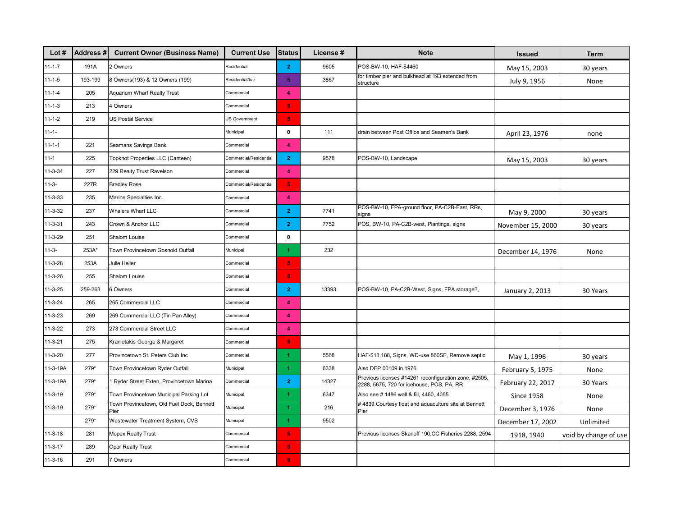| Lot $#$       | <b>Address#</b> | <b>Current Owner (Business Name)</b>              | <b>Current Use</b>     | <b>Status</b>           | License # | <b>Note</b>                                                                                        | <b>Issued</b>     | Term                  |
|---------------|-----------------|---------------------------------------------------|------------------------|-------------------------|-----------|----------------------------------------------------------------------------------------------------|-------------------|-----------------------|
| $11 - 1 - 7$  | 191A            | 2 Owners                                          | Residential            | $\overline{2}$          | 9605      | POS-BW-10, HAF-\$4460                                                                              | May 15, 2003      | 30 years              |
| $11 - 1 - 5$  | 193-199         | 8 Owners(193) & 12 Owners (199)                   | Residential/bar        | 5 <sub>5</sub>          | 3867      | for timber pier and bulkhead at 193 extended from<br>structure                                     | July 9, 1956      | None                  |
| $11 - 1 - 4$  | 205             | <b>Aquarium Wharf Realty Trust</b>                | Commercial             | $\blacktriangleleft$    |           |                                                                                                    |                   |                       |
| $11 - 1 - 3$  | 213             | 4 Owners                                          | Commercial             | 5 <sup>1</sup>          |           |                                                                                                    |                   |                       |
| $11 - 1 - 2$  | 219             | <b>US Postal Service</b>                          | US Government          | 5 <sub>1</sub>          |           |                                                                                                    |                   |                       |
| $11 - 1 -$    |                 |                                                   | Municipal              | $\pmb{0}$               | 111       | drain between Post Office and Seamen's Bank                                                        | April 23, 1976    | none                  |
| 11-1-1        | 221             | Seamans Savings Bank                              | Commercial             | 4                       |           |                                                                                                    |                   |                       |
| $11 - 1$      | 225             | Topknot Properties LLC (Canteen)                  | Commercial/Residential | $\overline{2}$          | 9578      | POS-BW-10, Landscape                                                                               | May 15, 2003      | 30 years              |
| $11 - 3 - 34$ | 227             | 229 Realty Trust Ravelson                         | Commercial             | $\blacktriangleleft$    |           |                                                                                                    |                   |                       |
| 11-3-         | 227R            | <b>Bradley Rose</b>                               | Commercial/Residential | 5 <sup>1</sup>          |           |                                                                                                    |                   |                       |
| 11-3-33       | 235             | Marine Specialties Inc.                           | Commercial             | $\overline{4}$          |           |                                                                                                    |                   |                       |
| 11-3-32       | 237             | <b>Whalers Wharf LLC</b>                          | Commercial             | $\mathbf{2}$            | 7741      | POS-BW-10, FPA-ground floor, PA-C2B-East, RRs,<br>signs                                            | May 9, 2000       | 30 years              |
| 11-3-31       | 243             | Crown & Anchor LLC                                | Commercial             | $\overline{2}$          | 7752      | POS, BW-10, PA-C2B-west, Plantings, signs                                                          | November 15, 2000 | 30 years              |
| 11-3-29       | 251             | Shalom Louise                                     | Commercial             | $\mathbf 0$             |           |                                                                                                    |                   |                       |
| 11-3-         | 253A*           | Town Provincetown Gosnold Outfall                 | Municipal              | 4                       | 232       |                                                                                                    | December 14, 1976 | None                  |
| 11-3-28       | 253A            | Julie Heller                                      | Commercial             | 5 <sub>1</sub>          |           |                                                                                                    |                   |                       |
| 11-3-26       | 255             | Shalom Louise                                     | Commercial             | $\overline{\mathbf{5}}$ |           |                                                                                                    |                   |                       |
| 11-3-25       | 259-263         | 6 Owners                                          | Commercial             | $\mathbf{2}$            | 13393     | POS-BW-10, PA-C2B-West, Signs, FPA storage?,                                                       | January 2, 2013   | 30 Years              |
| 11-3-24       | 265             | 265 Commercial LLC                                | Commercial             | 4                       |           |                                                                                                    |                   |                       |
| 11-3-23       | 269             | 269 Commercial LLC (Tin Pan Alley)                | Commercial             | 4                       |           |                                                                                                    |                   |                       |
| 11-3-22       | 273             | 273 Commercial Street LLC                         | Commercial             | $\blacktriangleleft$    |           |                                                                                                    |                   |                       |
| 11-3-21       | 275             | Kraniotakis George & Margaret                     | Commercial             | 5 <sub>1</sub>          |           |                                                                                                    |                   |                       |
| 11-3-20       | 277             | Provincetown St. Peters Club Inc                  | Commercial             | $\blacktriangleleft$    | 5568      | HAF-\$13,188, Signs, WD-use 860SF, Remove septic                                                   | May 1, 1996       | 30 years              |
| 11-3-19A      | 279*            | Town Provincetown Ryder Outfall                   | Municipal              | $\blacktriangleleft$    | 6338      | Also DEP 00109 in 1976                                                                             | February 5, 1975  | None                  |
| 11-3-19A      | 279*            | 1 Ryder Street Exten, Provincetown Marina         | Commercial             | $\overline{2}$          | 14327     | Previous licenses #14261 reconfiguration zone, #2505,<br>2288, 5675, 720 for icehouse, POS, PA, RR | February 22, 2017 | 30 Years              |
| 11-3-19       | 279*            | Town Provincetown Municipal Parking Lot           | Municipal              | $\blacktriangleleft$    | 6347      | Also see # 1486 wall & fill, 4460, 4055                                                            | <b>Since 1958</b> | None                  |
| 11-3-19       | 279*            | Town Provincetown, Old Fuel Dock, Bennett<br>Pier | Municipal              | 1.                      | 216       | #4839 Courtesy float and aquaculture site at Bennett<br>Pier                                       | December 3, 1976  | None                  |
|               | 279*            | Wastewater Treatment System, CVS                  | Municipal              | $\blacktriangleleft$    | 9502      |                                                                                                    | December 17, 2002 | Unlimited             |
| 11-3-18       | 281             | <b>Mopex Realty Trust</b>                         | Commercial             | $\overline{\mathbf{5}}$ |           | Previous licenses Skarloff 190,CC Fisheries 2288, 2594                                             | 1918, 1940        | void by change of use |
| 11-3-17       | 289             | Opor Realty Trust                                 | Commercial             | 5.                      |           |                                                                                                    |                   |                       |
| 11-3-16       | 291             | 7 Owners                                          | Commercial             | 5 <sub>1</sub>          |           |                                                                                                    |                   |                       |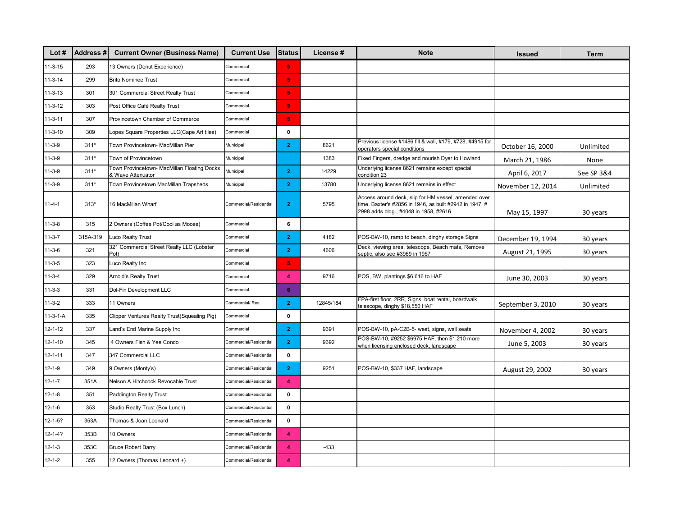| Lot $#$       | Address# | <b>Current Owner (Business Name)</b>                           | <b>Current Use</b>     | <b>Status</b>           | License # | <b>Note</b>                                                                                                                                              | <b>Issued</b>     | Term       |
|---------------|----------|----------------------------------------------------------------|------------------------|-------------------------|-----------|----------------------------------------------------------------------------------------------------------------------------------------------------------|-------------------|------------|
| $11-3-15$     | 293      | 13 Owners (Donut Experience)                                   | Commercial             | $\overline{\mathbf{5}}$ |           |                                                                                                                                                          |                   |            |
| $11-3-14$     | 299      | <b>Brito Nominee Trust</b>                                     | Commercial             | $\overline{\mathbf{5}}$ |           |                                                                                                                                                          |                   |            |
| $11 - 3 - 13$ | 301      | 301 Commercial Street Realty Trust                             | Commercial             | $\overline{\mathbf{5}}$ |           |                                                                                                                                                          |                   |            |
| $11-3-12$     | 303      | Post Office Café Realty Trust                                  | Commercial             | $\overline{\mathbf{5}}$ |           |                                                                                                                                                          |                   |            |
| $11 - 3 - 11$ | 307      | Provincetown Chamber of Commerce                               | Commercial             | $\overline{\mathbf{5}}$ |           |                                                                                                                                                          |                   |            |
| $11 - 3 - 10$ | 309      | Lopes Square Properties LLC(Cape Art tiles)                    | Commercial             | $\mathbf 0$             |           |                                                                                                                                                          |                   |            |
| $11 - 3 - 9$  | $311*$   | Town Provincetown- MacMillan Pier                              | Municipal              | $\overline{2}$          | 8621      | Previous license #1486 fill & wall, #179, #728, #4915 for<br>operators special conditions                                                                | October 16, 2000  | Unlimited  |
| $11-3-9$      | $311*$   | Town of Provincetown                                           | Municipal              |                         | 1383      | Fixed Fingers, dredge and nourish Dyer to Howland                                                                                                        | March 21, 1986    | None       |
| $11-3-9$      | $311*$   | Town Provincetown- MacMillan Floating Docks<br>Wave Attenuator | Municipal              | $\mathbf{2}$            | 14229     | Underlying license 8621 remains except special<br>condition 23                                                                                           | April 6, 2017     | See SP 3&4 |
| $11-3-9$      | $311*$   | Town Provincetown MacMillan Trapsheds                          | Municipal              | $\overline{2}$          | 13780     | Underlying license 8621 remains in effect                                                                                                                | November 12, 2014 | Unlimited  |
| $11 - 4 - 1$  | $313*$   | 16 MacMillan Wharf                                             | Commercial/Residential | $\mathbf{2}$            | 5795      | Access around deck, slip for HM vessel, amended over<br>time. Baxter's #2856 in 1946, as built #2942 in 1947, #<br>2998 adds bldg., #4048 in 1958, #2616 | May 15, 1997      | 30 years   |
| $11 - 3 - 8$  | 315      | 2 Owners (Coffee Pot/Cool as Moose)                            | Commercial             | 6                       |           |                                                                                                                                                          |                   |            |
| $11 - 3 - 7$  | 315A-319 | Luco Realty Trust                                              | Commercial             | $\mathbf{2}$            | 4182      | POS-BW-10, ramp to beach, dinghy storage Signs                                                                                                           | December 19, 1994 | 30 years   |
| $11 - 3 - 6$  | 321      | 321 Commercial Street Realty LLC (Lobster<br>Pot)              | Commercial             | $\overline{2}$          | 4606      | Deck, viewing area, telescope, Beach mats, Remove<br>septic, also see #3969 in 1957                                                                      | August 21, 1995   | 30 years   |
| $11 - 3 - 5$  | 323      | Luco Realty Inc                                                | Commercial             | $\overline{\mathbf{5}}$ |           |                                                                                                                                                          |                   |            |
| $11 - 3 - 4$  | 329      | Arnold's Realty Trust                                          | Commercial             | $\blacktriangleleft$    | 9716      | POS, BW, plantings \$6,616 to HAF                                                                                                                        | June 30, 2003     | 30 years   |
| $11 - 3 - 3$  | 331      | Dol-Fin Development LLC                                        | Commercial             | 6                       |           |                                                                                                                                                          |                   |            |
| $11 - 3 - 2$  | 333      | 11 Owners                                                      | Commercial/Res.        | $\mathbf{2}$            | 12845/184 | FPA-first floor, 2RR, Signs, boat rental, boardwalk,<br>telescope, dinghy \$18,550 HAF                                                                   | September 3, 2010 | 30 years   |
| $11-3-1-A$    | 335      | Clipper Ventures Realty Trust(Squealing Pig)                   | Commercial             | $\mathbf{0}$            |           |                                                                                                                                                          |                   |            |
| $12 - 1 - 12$ | 337      | Land's End Marine Supply Inc                                   | Commercial             | $\mathbf{2}$            | 9391      | POS-BW-10, pA-C2B-5- west, signs, wall seats                                                                                                             | November 4, 2002  | 30 years   |
| $12 - 1 - 10$ | 345      | 4 Owners Fish & Yee Condo                                      | Commercial/Residential | $\overline{2}$          | 9392      | POS-BW-10, #9252 \$6975 HAF, then \$1,210 more<br>when licensing enclosed deck, landscape                                                                | June 5, 2003      | 30 years   |
| $12 - 1 - 11$ | 347      | 347 Commercial LLC                                             | Commercial/Residential | 0                       |           |                                                                                                                                                          |                   |            |
| $12 - 1 - 9$  | 349      | 9 Owners (Monty's)                                             | Commercial/Residential | $\overline{2}$          | 9251      | POS-BW-10, \$337 HAF, landscape                                                                                                                          | August 29, 2002   | 30 years   |
| $12 - 1 - 7$  | 351A     | Nelson A Hitchcock Revocable Trust                             | Commercial/Residential | 4                       |           |                                                                                                                                                          |                   |            |
| $12 - 1 - 8$  | 351      | <b>Paddington Realty Trust</b>                                 | Commercial/Residential | $\mathbf 0$             |           |                                                                                                                                                          |                   |            |
| $12 - 1 - 6$  | 353      | Studio Realty Trust (Box Lunch)                                | Commercial/Residential | $\mathbf 0$             |           |                                                                                                                                                          |                   |            |
| $12 - 1 - 5?$ | 353A     | Thomas & Joan Leonard                                          | Commercial/Residential | $\mathbf 0$             |           |                                                                                                                                                          |                   |            |
| $12 - 1 - 4?$ | 353B     | 10 Owners                                                      | Commercial/Residential | 4                       |           |                                                                                                                                                          |                   |            |
| $12 - 1 - 3$  | 353C     | <b>Bruce Robert Barry</b>                                      | Commercial/Residential | 4                       | $-433$    |                                                                                                                                                          |                   |            |
| $12 - 1 - 2$  | 355      | 12 Owners (Thomas Leonard +)                                   | Commercial/Residential | $\overline{\mathbf{4}}$ |           |                                                                                                                                                          |                   |            |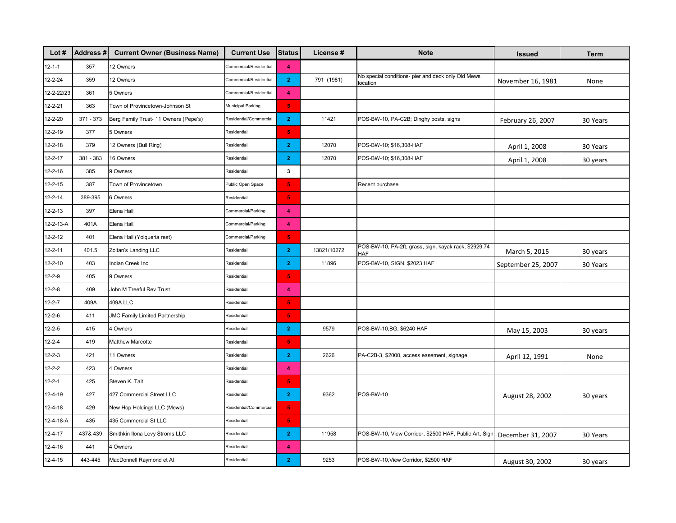| Lot $#$      | Address#  | <b>Current Owner (Business Name)</b>  | <b>Current Use</b>     | <b>Status</b>           | License#    | <b>Note</b>                                                         | <b>Issued</b>      | Term     |
|--------------|-----------|---------------------------------------|------------------------|-------------------------|-------------|---------------------------------------------------------------------|--------------------|----------|
| $12 - 1 - 1$ | 357       | 12 Owners                             | Commercial/Residential | 4                       |             |                                                                     |                    |          |
| 12-2-24      | 359       | 12 Owners                             | Commercial/Residential | $\mathbf{2}$            | 791 (1981)  | No special conditions- pier and deck only Old Mews<br>location      | November 16, 1981  | None     |
| 12-2-22/23   | 361       | 5 Owners                              | Commercial/Residential | $\blacktriangleleft$    |             |                                                                     |                    |          |
| 12-2-21      | 363       | Town of Provincetown-Johnson St       | Municipal Parking      | 5 <sub>1</sub>          |             |                                                                     |                    |          |
| 12-2-20      | 371 - 373 | Berg Family Trust- 11 Owners (Pepe's) | Residential/Commercial | $\overline{2}$          | 11421       | POS-BW-10, PA-C2B; Dinghy posts, signs                              | February 26, 2007  | 30 Years |
| 12-2-19      | 377       | 5 Owners                              | Residential            | $\overline{\mathbf{5}}$ |             |                                                                     |                    |          |
| 12-2-18      | 379       | 12 Owners (Bull Ring)                 | Residential            | $\overline{2}$          | 12070       | POS-BW-10; \$16,308-HAF                                             | April 1, 2008      | 30 Years |
| 12-2-17      | 381 - 383 | 16 Owners                             | Residential            | $\mathbf{2}$            | 12070       | POS-BW-10; \$16,308-HAF                                             | April 1, 2008      | 30 years |
| 12-2-16      | 385       | 9 Owners                              | Residential            | 3                       |             |                                                                     |                    |          |
| 12-2-15      | 387       | Town of Provincetown                  | Public Open Space      | $\overline{\mathbf{5}}$ |             | Recent purchase                                                     |                    |          |
| 12-2-14      | 389-395   | 6 Owners                              | Residential            | 5 <sub>1</sub>          |             |                                                                     |                    |          |
| 12-2-13      | 397       | Elena Hall                            | Commercial/Parking     | $\blacktriangleleft$    |             |                                                                     |                    |          |
| 12-2-13-A    | 401A      | Elena Hall                            | Commercial/Parking     | $\blacktriangleleft$    |             |                                                                     |                    |          |
| 12-2-12      | 401       | Elena Hall (Yolqueria rest)           | Commercial/Parking     | $\overline{\mathbf{5}}$ |             |                                                                     |                    |          |
| 12-2-11      | 401.5     | Zoltan's Landing LLC                  | Residential            | $\mathbf{2}$            | 13821/10272 | POS-BW-10, PA-2ft, grass, sign, kayak rack, \$2929.74<br><b>HAF</b> | March 5, 2015      | 30 years |
| 12-2-10      | 403       | Indian Creek Inc                      | Residential            | $\mathbf{2}$            | 11896       | POS-BW-10, SIGN, \$2023 HAF                                         | September 25, 2007 | 30 Years |
| 12-2-9       | 405       | 9 Owners                              | Residential            | $\overline{\mathbf{5}}$ |             |                                                                     |                    |          |
| 12-2-8       | 409       | John M Treeful Rev Trust              | Residential            | $\blacktriangleleft$    |             |                                                                     |                    |          |
| 12-2-7       | 409A      | 409A LLC                              | Residential            | 5 <sub>1</sub>          |             |                                                                     |                    |          |
| 12-2-6       | 411       | JMC Family Limited Partnership        | Residential            | $\overline{\mathbf{5}}$ |             |                                                                     |                    |          |
| 12-2-5       | 415       | 4 Owners                              | Residential            | $\mathbf{2}$            | 9579        | POS-BW-10, BG, \$6240 HAF                                           | May 15, 2003       | 30 years |
| 12-2-4       | 419       | <b>Matthew Marcotte</b>               | Residential            | $\overline{\mathbf{5}}$ |             |                                                                     |                    |          |
| 12-2-3       | 421       | 11 Owners                             | Residential            | $\mathbf{2}$            | 2626        | PA-C2B-3, \$2000, access easement, signage                          | April 12, 1991     | None     |
| 12-2-2       | 423       | 4 Owners                              | Residential            | 4                       |             |                                                                     |                    |          |
| 12-2-1       | 425       | Steven K. Tait                        | Residential            | $\overline{\mathbf{5}}$ |             |                                                                     |                    |          |
| 12-4-19      | 427       | 427 Commercial Street LLC             | Residential            | $\mathbf{2}$            | 9362        | POS-BW-10                                                           | August 28, 2002    | 30 years |
| 12-4-18      | 429       | New Hop Holdings LLC (Mews)           | Residential/Commercial | 5 <sub>1</sub>          |             |                                                                     |                    |          |
| 12-4-18-A    | 435       | 435 Commercial St LLC                 | Residential            | 5 <sub>1</sub>          |             |                                                                     |                    |          |
| 12-4-17      | 437& 439  | Smithkin Ilona Levy Stroms LLC        | Residential            | $\mathbf{2}$            | 11958       | POS-BW-10, View Corridor, \$2500 HAF, Public Art, Sign              | December 31, 2007  | 30 Years |
| 12-4-16      | 441       | 4 Owners                              | Residential            | 4                       |             |                                                                     |                    |          |
| 12-4-15      | 443-445   | MacDonnell Raymond et Al              | Residential            | $\mathbf{2}$            | 9253        | POS-BW-10, View Corridor, \$2500 HAF                                | August 30, 2002    | 30 years |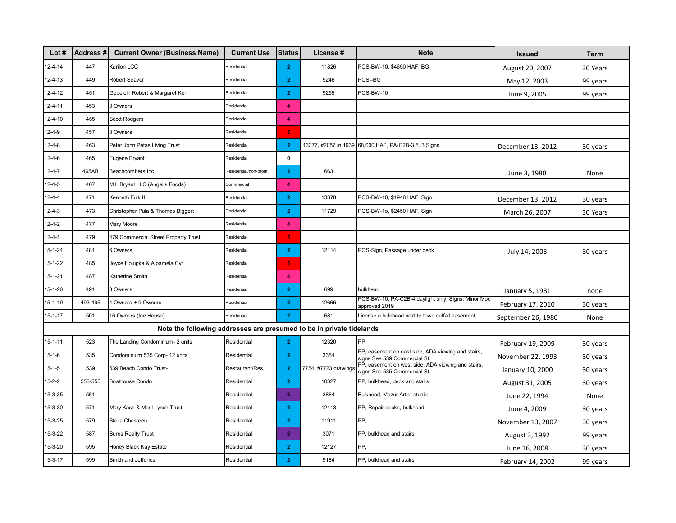| Lot $#$       | <b>Address#</b> | <b>Current Owner (Business Name)</b>                                 | <b>Current Use</b>     | <b>Status</b>           | License #            | <b>Note</b>                                                                       | <b>Issued</b>      | Term     |
|---------------|-----------------|----------------------------------------------------------------------|------------------------|-------------------------|----------------------|-----------------------------------------------------------------------------------|--------------------|----------|
| 12-4-14       | 447             | Karilon LCC                                                          | Residential            | $\mathbf{2}$            | 11826                | POS-BW-10, \$4650 HAF, BG                                                         | August 20, 2007    | 30 Years |
| 12-4-13       | 449             | <b>Robert Seaver</b>                                                 | Residential            | $\mathbf{2}$            | 9246                 | POS--BG                                                                           | May 12, 2003       | 99 years |
| 12-4-12       | 451             | Gebelein Robert & Margaret Kerr                                      | Residential            | $\mathbf{2}$            | 9255                 | POS-BW-10                                                                         | June 9, 2005       | 99 years |
| 12-4-11       | 453             | 3 Owners                                                             | Residential            | 4                       |                      |                                                                                   |                    |          |
| 12-4-10       | 455             | <b>Scott Rodgers</b>                                                 | Residential            | 4                       |                      |                                                                                   |                    |          |
| $12 - 4 - 9$  | 457             | 3 Owners                                                             | Residential            | $\overline{\mathbf{5}}$ |                      |                                                                                   |                    |          |
| 12-4-8        | 463             | Peter John Petas Living Trust                                        | Residential            | $\overline{2}$          |                      | 13377, #2057 in 1939 68,000 HAF, PA-C2B-3.5, 3 Signs                              | December 13, 2012  | 30 years |
| $12 - 4 - 6$  | 465             | Eugene Bryant                                                        | Residential            | $\mathbf 0$             |                      |                                                                                   |                    |          |
| $12 - 4 - 7$  | 465AB           | Beachcombers Inc                                                     | Residential/non-profit | $\mathbf{2}$            | 663                  |                                                                                   | June 3, 1980       | None     |
| $12 - 4 - 5$  | 467             | M L Bryant LLC (Angel's Foods)                                       | Commercial             | 4                       |                      |                                                                                   |                    |          |
| $12 - 4 - 4$  | 471             | Kenneth Fulk II                                                      | Residential            | $\overline{2}$          | 13378                | POS-BW-10, \$1948 HAF, Sign                                                       | December 13, 2012  | 30 years |
| $12 - 4 - 3$  | 473             | Christopher Pula & Thomas Biggert                                    | Residential            | $\mathbf{2}$            | 11729                | POS-BW-1o, \$2450 HAF, Sign                                                       | March 26, 2007     | 30 Years |
| 12-4-2        | 477             | Mary Moore                                                           | Residential            | 4                       |                      |                                                                                   |                    |          |
| $12 - 4 - 1$  | 479             | 479 Commercial Street Property Trust                                 | Residential            | $\overline{\mathbf{5}}$ |                      |                                                                                   |                    |          |
| 15-1-24       | 481             | 6 Owners                                                             | Residential            | $\mathbf{2}$            | 12114                | POS-Sign, Passage under deck                                                      | July 14, 2008      | 30 years |
| $15 - 1 - 22$ | 485             | Joyce Holupka & Alpamela Cyr                                         | Residential            | 5 <sub>1</sub>          |                      |                                                                                   |                    |          |
| $15 - 1 - 21$ | 487             | Katherine Smith                                                      | Residential            | 4                       |                      |                                                                                   |                    |          |
| 15-1-20       | 491             | 8 Owners                                                             | Residential            | $\mathbf{2}$            | 699                  | bulkhead                                                                          | January 5, 1981    | none     |
| 15-1-19       | 493-495         | 4 Owners + 9 Owners                                                  | Residential            | $\mathbf{2}$            | 12666                | POS-BW-10, PA-C2B-4 daylight only, Signs, Minor Mod<br>approved 2019              | February 17, 2010  | 30 years |
| $15 - 1 - 17$ | 501             | 16 Owners (Ice House)                                                | Residential            | 2 <sup>1</sup>          | 681                  | License a bulkhead next to town outfall easement                                  | September 26, 1980 | None     |
|               |                 | Note the following addresses are presumed to be in private tidelands |                        |                         |                      |                                                                                   |                    |          |
| $15 - 1 - 11$ | 523             | The Landing Condominium- 2 units                                     | Residential            | $\mathbf{2}$            | 12320                | PP                                                                                | February 19, 2009  | 30 years |
| $15 - 1 - 6$  | 535             | Condominium 535 Corp- 12 units                                       | Residential            | $\overline{2}$          | 3354                 | PP, easement on east side, ADA viewing and stairs,<br>signs See 539 Commercial St | November 22, 1993  | 30 years |
| $15 - 1 - 5$  | 539             | 539 Beach Condo Trust-                                               | Restaurant/Res         | $\mathbf{2}$            | 7754, #7723 drawings | PP, easement on west side, ADA viewing and stairs,<br>signs See 535 Commercial St | January 10, 2000   | 30 years |
| $15 - 2 - 2$  | 553-555         | Boathouse Condo                                                      | Residential            | $\overline{2}$          | 10327                | PP, bulkhead, deck and stairs                                                     | August 31, 2005    | 30 years |
| 15-3-35       | 561             |                                                                      | Residential            | 6                       | 3884                 | Bulkhead, Mazur Artist studio                                                     | June 22, 1994      | None     |
| 15-3-30       | 571             | Mary Kass & Meril Lynch Trust                                        | Residential            | $\mathbf{2}$            | 12413                | PP, Repair decks, bulkhead                                                        | June 4, 2009       | 30 years |
| 15-3-25       | 579             | Stella Chasteen                                                      | Residential            | $\mathbf{2}$            | 11911                | PP,                                                                               | November 13, 2007  | 30 years |
| 15-3-22       | 587             | <b>Burns Realty Trust</b>                                            | Residential            | 6                       | 3071                 | PP, bulkhead and stairs                                                           | August 3, 1992     | 99 years |
| 15-3-20       | 595             | Honey Black Kay Estate                                               | Residential            | $\mathbf{2}$            | 12127                | PP,                                                                               | June 16, 2008      | 30 years |
| 15-3-17       | 599             | Smith and Jefferies                                                  | Residential            | $\overline{2}$          | 9184                 | PP, bulkhead and stairs                                                           | February 14, 2002  | 99 years |